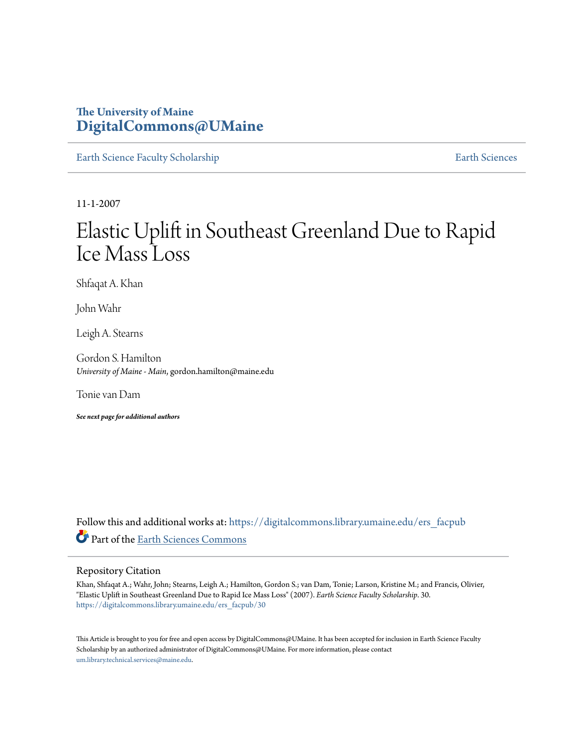## **The University of Maine [DigitalCommons@UMaine](https://digitalcommons.library.umaine.edu?utm_source=digitalcommons.library.umaine.edu%2Fers_facpub%2F30&utm_medium=PDF&utm_campaign=PDFCoverPages)**

[Earth Science Faculty Scholarship](https://digitalcommons.library.umaine.edu/ers_facpub?utm_source=digitalcommons.library.umaine.edu%2Fers_facpub%2F30&utm_medium=PDF&utm_campaign=PDFCoverPages) **[Earth Sciences](https://digitalcommons.library.umaine.edu/ers?utm_source=digitalcommons.library.umaine.edu%2Fers_facpub%2F30&utm_medium=PDF&utm_campaign=PDFCoverPages)** 

11-1-2007

# Elastic Uplift in Southeast Greenland Due to Rapid Ice Mass Loss

Shfaqat A. Khan

John Wahr

Leigh A. Stearns

Gordon S. Hamilton *University of Maine - Main*, gordon.hamilton@maine.edu

Tonie van Dam

*See next page for additional authors*

Follow this and additional works at: [https://digitalcommons.library.umaine.edu/ers\\_facpub](https://digitalcommons.library.umaine.edu/ers_facpub?utm_source=digitalcommons.library.umaine.edu%2Fers_facpub%2F30&utm_medium=PDF&utm_campaign=PDFCoverPages) Part of the [Earth Sciences Commons](http://network.bepress.com/hgg/discipline/153?utm_source=digitalcommons.library.umaine.edu%2Fers_facpub%2F30&utm_medium=PDF&utm_campaign=PDFCoverPages)

#### Repository Citation

Khan, Shfaqat A.; Wahr, John; Stearns, Leigh A.; Hamilton, Gordon S.; van Dam, Tonie; Larson, Kristine M.; and Francis, Olivier, "Elastic Uplift in Southeast Greenland Due to Rapid Ice Mass Loss" (2007). *Earth Science Faculty Scholarship*. 30. [https://digitalcommons.library.umaine.edu/ers\\_facpub/30](https://digitalcommons.library.umaine.edu/ers_facpub/30?utm_source=digitalcommons.library.umaine.edu%2Fers_facpub%2F30&utm_medium=PDF&utm_campaign=PDFCoverPages)

This Article is brought to you for free and open access by DigitalCommons@UMaine. It has been accepted for inclusion in Earth Science Faculty Scholarship by an authorized administrator of DigitalCommons@UMaine. For more information, please contact [um.library.technical.services@maine.edu](mailto:um.library.technical.services@maine.edu).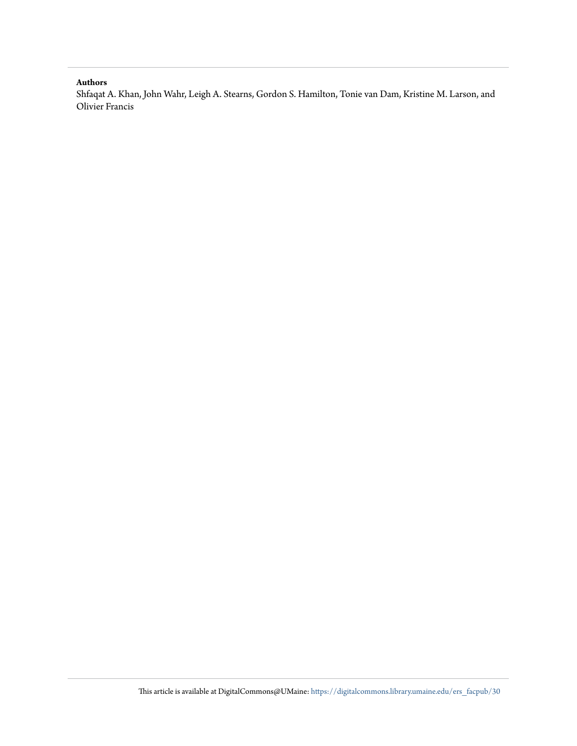#### **Authors**

Shfaqat A. Khan, John Wahr, Leigh A. Stearns, Gordon S. Hamilton, Tonie van Dam, Kristine M. Larson, and Olivier Francis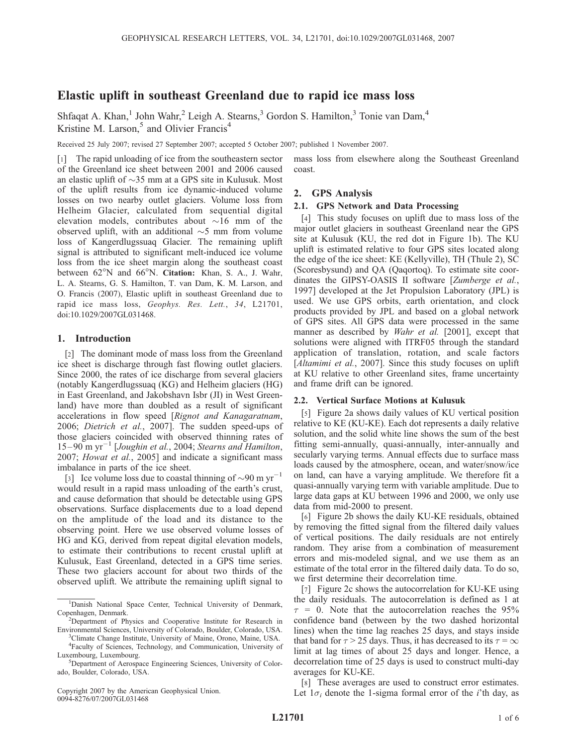### Elastic uplift in southeast Greenland due to rapid ice mass loss

Shfaqat A. Khan,<sup>1</sup> John Wahr,<sup>2</sup> Leigh A. Stearns,<sup>3</sup> Gordon S. Hamilton,<sup>3</sup> Tonie van Dam,<sup>4</sup> Kristine M. Larson, $5$  and Olivier Francis<sup>4</sup>

Received 25 July 2007; revised 27 September 2007; accepted 5 October 2007; published 1 November 2007.

[1] The rapid unloading of ice from the southeastern sector of the Greenland ice sheet between 2001 and 2006 caused an elastic uplift of  $\sim$ 35 mm at a GPS site in Kulusuk. Most of the uplift results from ice dynamic-induced volume losses on two nearby outlet glaciers. Volume loss from Helheim Glacier, calculated from sequential digital elevation models, contributes about  $\sim 16$  mm of the observed uplift, with an additional  $\sim$ 5 mm from volume loss of Kangerdlugssuaq Glacier. The remaining uplift signal is attributed to significant melt-induced ice volume loss from the ice sheet margin along the southeast coast between  $62^{\circ}$ N and  $66^{\circ}$ N. Citation: Khan, S. A., J. Wahr, L. A. Stearns, G. S. Hamilton, T. van Dam, K. M. Larson, and O. Francis (2007), Elastic uplift in southeast Greenland due to rapid ice mass loss, Geophys. Res. Lett., 34, L21701, doi:10.1029/2007GL031468.

#### 1. Introduction

[2] The dominant mode of mass loss from the Greenland ice sheet is discharge through fast flowing outlet glaciers. Since 2000, the rates of ice discharge from several glaciers (notably Kangerdlugssuaq (KG) and Helheim glaciers (HG) in East Greenland, and Jakobshavn Isbr (JI) in West Greenland) have more than doubled as a result of significant accelerations in flow speed [Rignot and Kanagaratnam, 2006; Dietrich et al., 2007]. The sudden speed-ups of those glaciers coincided with observed thinning rates of 15-90 m yr<sup>-1</sup> [Joughin et al., 2004; Stearns and Hamilton, 2007; Howat et al., 2005] and indicate a significant mass imbalance in parts of the ice sheet.

[3] Ice volume loss due to coastal thinning of  $\sim$ 90 m yr<sup>-1</sup> would result in a rapid mass unloading of the earth's crust, and cause deformation that should be detectable using GPS observations. Surface displacements due to a load depend on the amplitude of the load and its distance to the observing point. Here we use observed volume losses of HG and KG, derived from repeat digital elevation models, to estimate their contributions to recent crustal uplift at Kulusuk, East Greenland, detected in a GPS time series. These two glaciers account for about two thirds of the observed uplift. We attribute the remaining uplift signal to

Copyright 2007 by the American Geophysical Union. 0094-8276/07/2007GL031468

mass loss from elsewhere along the Southeast Greenland coast.

#### 2. GPS Analysis

#### 2.1. GPS Network and Data Processing

[4] This study focuses on uplift due to mass loss of the major outlet glaciers in southeast Greenland near the GPS site at Kulusuk (KU, the red dot in Figure 1b). The KU uplift is estimated relative to four GPS sites located along the edge of the ice sheet: KE (Kellyville), TH (Thule 2), SC (Scoresbysund) and QA (Qaqortoq). To estimate site coordinates the GIPSY-OASIS II software [Zumberge et al., 1997] developed at the Jet Propulsion Laboratory (JPL) is used. We use GPS orbits, earth orientation, and clock products provided by JPL and based on a global network of GPS sites. All GPS data were processed in the same manner as described by Wahr et al. [2001], except that solutions were aligned with ITRF05 through the standard application of translation, rotation, and scale factors [Altamimi et al., 2007]. Since this study focuses on uplift at KU relative to other Greenland sites, frame uncertainty and frame drift can be ignored.

#### 2.2. Vertical Surface Motions at Kulusuk

[5] Figure 2a shows daily values of KU vertical position relative to KE (KU-KE). Each dot represents a daily relative solution, and the solid white line shows the sum of the best fitting semi-annually, quasi-annually, inter-annually and secularly varying terms. Annual effects due to surface mass loads caused by the atmosphere, ocean, and water/snow/ice on land, can have a varying amplitude. We therefore fit a quasi-annually varying term with variable amplitude. Due to large data gaps at KU between 1996 and 2000, we only use data from mid-2000 to present.

[6] Figure 2b shows the daily KU-KE residuals, obtained by removing the fitted signal from the filtered daily values of vertical positions. The daily residuals are not entirely random. They arise from a combination of measurement errors and mis-modeled signal, and we use them as an estimate of the total error in the filtered daily data. To do so, we first determine their decorrelation time.

[7] Figure 2c shows the autocorrelation for KU-KE using the daily residuals. The autocorrelation is defined as 1 at  $\tau = 0$ . Note that the autocorrelation reaches the 95% confidence band (between by the two dashed horizontal lines) when the time lag reaches 25 days, and stays inside that band for  $\tau > 25$  days. Thus, it has decreased to its  $\tau = \infty$ limit at lag times of about 25 days and longer. Hence, a decorrelation time of 25 days is used to construct multi-day averages for KU-KE.

[8] These averages are used to construct error estimates. Let  $1\sigma_i$  denote the 1-sigma formal error of the *i*'th day, as

<sup>&</sup>lt;sup>1</sup>Danish National Space Center, Technical University of Denmark, Copenhagen, Denmark.

Department of Physics and Cooperative Institute for Research in Environmental Sciences, University of Colorado, Boulder, Colorado, USA. <sup>3</sup>

<sup>&</sup>lt;sup>3</sup>Climate Change Institute, University of Maine, Orono, Maine, USA. 4 Faculty of Sciences, Technology, and Communication, University of Luxembourg, Luxembourg.

<sup>&</sup>lt;sup>5</sup>Department of Aerospace Engineering Sciences, University of Colorado, Boulder, Colorado, USA.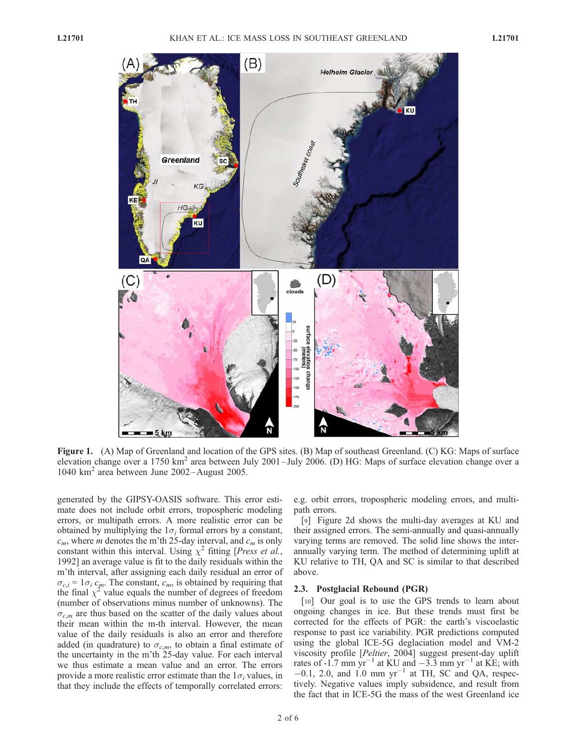#### L21701 KHAN ET AL.: ICE MASS LOSS IN SOUTHEAST GREENLAND L21701



Figure 1. (A) Map of Greenland and location of the GPS sites. (B) Map of southeast Greenland. (C) KG: Maps of surface elevation change over a 1750 km<sup>2</sup> area between July 2001–July 2006. (D) HG: Maps of surface elevation change over a 1040 km<sup>2</sup> area between June 2002–August 2005.

generated by the GIPSY-OASIS software. This error estimate does not include orbit errors, tropospheric modeling errors, or multipath errors. A more realistic error can be obtained by multiplying the  $1\sigma_i$  formal errors by a constant,  $c_m$ , where *m* denotes the m'th 25-day interval, and  $c_m$  is only constant within this interval. Using  $\chi^2$  fitting [*Press et al.*, 1992] an average value is fit to the daily residuals within the m'th interval, after assigning each daily residual an error of  $\sigma_{c,i} = 1\sigma_i c_m$ . The constant,  $c_m$ , is obtained by requiring that the final  $\chi^2$  value equals the number of degrees of freedom (number of observations minus number of unknowns). The  $\sigma_{cm}$  are thus based on the scatter of the daily values about their mean within the m-th interval. However, the mean value of the daily residuals is also an error and therefore added (in quadrature) to  $\sigma_{c,m}$ , to obtain a final estimate of the uncertainty in the m'th 25-day value. For each interval we thus estimate a mean value and an error. The errors provide a more realistic error estimate than the  $1\sigma_i$  values, in that they include the effects of temporally correlated errors:

e.g. orbit errors, tropospheric modeling errors, and multipath errors.

[9] Figure 2d shows the multi-day averages at KU and their assigned errors. The semi-annually and quasi-annually varying terms are removed. The solid line shows the interannually varying term. The method of determining uplift at KU relative to TH, QA and SC is similar to that described above.

#### 2.3. Postglacial Rebound (PGR)

[10] Our goal is to use the GPS trends to learn about ongoing changes in ice. But these trends must first be corrected for the effects of PGR: the earth's viscoelastic response to past ice variability. PGR predictions computed using the global ICE-5G deglaciation model and VM-2 viscosity profile [Peltier, 2004] suggest present-day uplift rates of -1.7 mm  $yr^{-1}$  at KU and  $-3.3$  mm  $yr^{-1}$  at KE; with  $-0.1$ , 2.0, and 1.0 mm yr<sup>-1</sup> at TH, SC and QA, respectively. Negative values imply subsidence, and result from the fact that in ICE-5G the mass of the west Greenland ice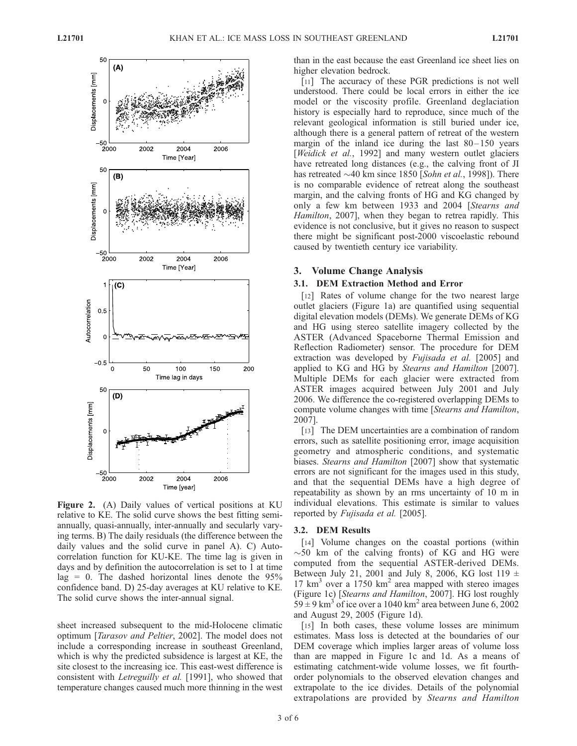

Figure 2. (A) Daily values of vertical positions at KU relative to KE. The solid curve shows the best fitting semiannually, quasi-annually, inter-annually and secularly varying terms. B) The daily residuals (the difference between the daily values and the solid curve in panel A). C) Autocorrelation function for KU-KE. The time lag is given in days and by definition the autocorrelation is set to 1 at time  $lag = 0$ . The dashed horizontal lines denote the 95% confidence band. D) 25-day averages at KU relative to KE. The solid curve shows the inter-annual signal.

sheet increased subsequent to the mid-Holocene climatic optimum [Tarasov and Peltier, 2002]. The model does not include a corresponding increase in southeast Greenland, which is why the predicted subsidence is largest at KE, the site closest to the increasing ice. This east-west difference is consistent with Letreguilly et al. [1991], who showed that temperature changes caused much more thinning in the west than in the east because the east Greenland ice sheet lies on higher elevation bedrock.

[11] The accuracy of these PGR predictions is not well understood. There could be local errors in either the ice model or the viscosity profile. Greenland deglaciation history is especially hard to reproduce, since much of the relevant geological information is still buried under ice, although there is a general pattern of retreat of the western margin of the inland ice during the last  $80 - 150$  years [Weidick et al., 1992] and many western outlet glaciers have retreated long distances (e.g., the calving front of JI has retreated  $\sim$ 40 km since 1850 [Sohn et al., 1998]). There is no comparable evidence of retreat along the southeast margin, and the calving fronts of HG and KG changed by only a few km between 1933 and 2004 [Stearns and Hamilton, 2007], when they began to retrea rapidly. This evidence is not conclusive, but it gives no reason to suspect there might be significant post-2000 viscoelastic rebound caused by twentieth century ice variability.

#### 3. Volume Change Analysis

#### 3.1. DEM Extraction Method and Error

[12] Rates of volume change for the two nearest large outlet glaciers (Figure 1a) are quantified using sequential digital elevation models (DEMs). We generate DEMs of KG and HG using stereo satellite imagery collected by the ASTER (Advanced Spaceborne Thermal Emission and Reflection Radiometer) sensor. The procedure for DEM extraction was developed by Fujisada et al. [2005] and applied to KG and HG by Stearns and Hamilton [2007]. Multiple DEMs for each glacier were extracted from ASTER images acquired between July 2001 and July 2006. We difference the co-registered overlapping DEMs to compute volume changes with time [Stearns and Hamilton, 2007].

[13] The DEM uncertainties are a combination of random errors, such as satellite positioning error, image acquisition geometry and atmospheric conditions, and systematic biases. *Stearns and Hamilton* [2007] show that systematic errors are not significant for the images used in this study, and that the sequential DEMs have a high degree of repeatability as shown by an rms uncertainty of 10 m in individual elevations. This estimate is similar to values reported by Fujisada et al. [2005].

#### 3.2. DEM Results

[14] Volume changes on the coastal portions (within  $\sim$  50 km of the calving fronts) of KG and HG were computed from the sequential ASTER-derived DEMs. Between July 21, 2001 and July 8, 2006, KG lost 119  $\pm$  $17 \text{ km}^3$  over a 1750 km<sup>2</sup> area mapped with stereo images (Figure 1c) [Stearns and Hamilton, 2007]. HG lost roughly  $59 \pm 9$  km<sup>3</sup> of ice over a 1040 km<sup>2</sup> area between June 6, 2002 and August 29, 2005 (Figure 1d).

[15] In both cases, these volume losses are minimum estimates. Mass loss is detected at the boundaries of our DEM coverage which implies larger areas of volume loss than are mapped in Figure 1c and 1d. As a means of estimating catchment-wide volume losses, we fit fourthorder polynomials to the observed elevation changes and extrapolate to the ice divides. Details of the polynomial extrapolations are provided by Stearns and Hamilton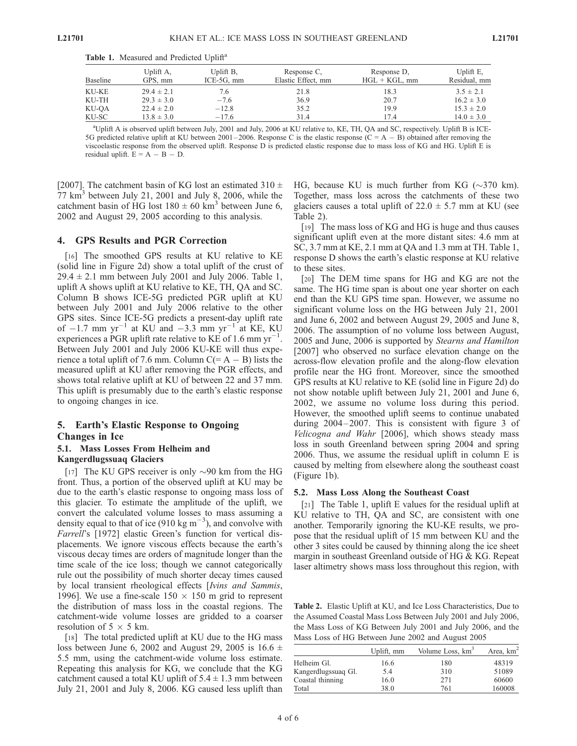|  | Table 1. Measured and Predicted Uplift <sup>a</sup> |  |  |
|--|-----------------------------------------------------|--|--|
|  |                                                     |  |  |

| Baseline | Uplift A,<br>GPS, mm | Uplift B.<br>$ICE-5G$ , mm | Response C,<br>Elastic Effect, mm | Response D,<br>$HGL + KGL$ , mm | Uplift E.<br>Residual, mm |
|----------|----------------------|----------------------------|-----------------------------------|---------------------------------|---------------------------|
| KU-KE    | $29.4 \pm 2.1$       | 7.6                        | 21.8                              | 18.3                            | $3.5 \pm 2.1$             |
| KU-TH    | $29.3 \pm 3.0$       | $-7.6$                     | 36.9                              | 20.7                            | $16.2 \pm 3.0$            |
| KU-OA    | $22.4 \pm 2.0$       | $-12.8$                    | 35.2                              | 19.9                            | $15.3 \pm 2.0$            |
| KU-SC    | $13.8 \pm 3.0$       | $-17.6$                    | 31.4                              | 17.4                            | $14.0 \pm 3.0$            |

a Uplift A is observed uplift between July, 2001 and July, 2006 at KU relative to, KE, TH, QA and SC, respectively. Uplift B is ICE-5G predicted relative uplift at KU between 2001–2006. Response C is the elastic response  $(C = A - B)$  obtained after removing the viscoelastic response from the observed uplift. Response D is predicted elastic response due to mass loss of KG and HG. Uplift E is residual uplift.  $E = A - B - D$ .

[2007]. The catchment basin of KG lost an estimated 310  $\pm$  $77 \text{ km}^3$  between July 21, 2001 and July 8, 2006, while the catchment basin of HG lost  $180 \pm 60$  km<sup>3</sup> between June 6, 2002 and August 29, 2005 according to this analysis.

#### 4. GPS Results and PGR Correction

[16] The smoothed GPS results at KU relative to KE (solid line in Figure 2d) show a total uplift of the crust of  $29.4 \pm 2.1$  mm between July 2001 and July 2006. Table 1, uplift A shows uplift at KU relative to KE, TH, QA and SC. Column B shows ICE-5G predicted PGR uplift at KU between July 2001 and July 2006 relative to the other GPS sites. Since ICE-5G predicts a present-day uplift rate of  $-1.7$  mm yr<sup>-1</sup> at KU and  $-3.3$  mm yr<sup>-1</sup> at KE, KU experiences a PGR uplift rate relative to KE of 1.6 mm  $yr^{-1}$ . Between July 2001 and July 2006 KU-KE will thus experience a total uplift of 7.6 mm. Column  $C (= A - B)$  lists the measured uplift at KU after removing the PGR effects, and shows total relative uplift at KU of between 22 and 37 mm. This uplift is presumably due to the earth's elastic response to ongoing changes in ice.

#### 5. Earth's Elastic Response to Ongoing Changes in Ice

#### 5.1. Mass Losses From Helheim and Kangerdlugssuaq Glaciers

[17] The KU GPS receiver is only  $\sim$ 90 km from the HG front. Thus, a portion of the observed uplift at KU may be due to the earth's elastic response to ongoing mass loss of this glacier. To estimate the amplitude of the uplift, we convert the calculated volume losses to mass assuming a density equal to that of ice (910 kg  $m^{-3}$ ), and convolve with Farrell's [1972] elastic Green's function for vertical displacements. We ignore viscous effects because the earth's viscous decay times are orders of magnitude longer than the time scale of the ice loss; though we cannot categorically rule out the possibility of much shorter decay times caused by local transient rheological effects [Ivins and Sammis, 1996]. We use a fine-scale  $150 \times 150$  m grid to represent the distribution of mass loss in the coastal regions. The catchment-wide volume losses are gridded to a coarser resolution of  $5 \times 5$  km.

[18] The total predicted uplift at KU due to the HG mass loss between June 6, 2002 and August 29, 2005 is 16.6  $\pm$ 5.5 mm, using the catchment-wide volume loss estimate. Repeating this analysis for KG, we conclude that the KG catchment caused a total KU uplift of  $5.4 \pm 1.3$  mm between July 21, 2001 and July 8, 2006. KG caused less uplift than HG, because KU is much further from KG  $(\sim]370 \text{ km}$ . Together, mass loss across the catchments of these two glaciers causes a total uplift of  $22.0 \pm 5.7$  mm at KU (see Table 2).

[19] The mass loss of KG and HG is huge and thus causes significant uplift even at the more distant sites: 4.6 mm at SC, 3.7 mm at KE, 2.1 mm at QA and 1.3 mm at TH. Table 1, response D shows the earth's elastic response at KU relative to these sites.

[20] The DEM time spans for HG and KG are not the same. The HG time span is about one year shorter on each end than the KU GPS time span. However, we assume no significant volume loss on the HG between July 21, 2001 and June 6, 2002 and between August 29, 2005 and June 8, 2006. The assumption of no volume loss between August, 2005 and June, 2006 is supported by Stearns and Hamilton [2007] who observed no surface elevation change on the across-flow elevation profile and the along-flow elevation profile near the HG front. Moreover, since the smoothed GPS results at KU relative to KE (solid line in Figure 2d) do not show notable uplift between July 21, 2001 and June 6, 2002, we assume no volume loss during this period. However, the smoothed uplift seems to continue unabated during 2004–2007. This is consistent with figure 3 of Velicogna and Wahr [2006], which shows steady mass loss in south Greenland between spring 2004 and spring 2006. Thus, we assume the residual uplift in column E is caused by melting from elsewhere along the southeast coast (Figure 1b).

#### 5.2. Mass Loss Along the Southeast Coast

[21] The Table 1, uplift E values for the residual uplift at KU relative to TH, QA and SC, are consistent with one another. Temporarily ignoring the KU-KE results, we propose that the residual uplift of 15 mm between KU and the other 3 sites could be caused by thinning along the ice sheet margin in southeast Greenland outside of HG & KG. Repeat laser altimetry shows mass loss throughout this region, with

Table 2. Elastic Uplift at KU, and Ice Loss Characteristics, Due to the Assumed Coastal Mass Loss Between July 2001 and July 2006, the Mass Loss of KG Between July 2001 and July 2006, and the Mass Loss of HG Between June 2002 and August 2005

|                     | Uplift, mm | Volume Loss, km <sup>3</sup> | Area, $km2$ |
|---------------------|------------|------------------------------|-------------|
| Helheim Gl.         | 16.6       | 180                          | 48319       |
| Kangerdlugssuag Gl. | 5.4        | 310                          | 51089       |
| Coastal thinning    | 16.0       | 271                          | 60600       |
| Total               | 38.0       | 761                          | 160008      |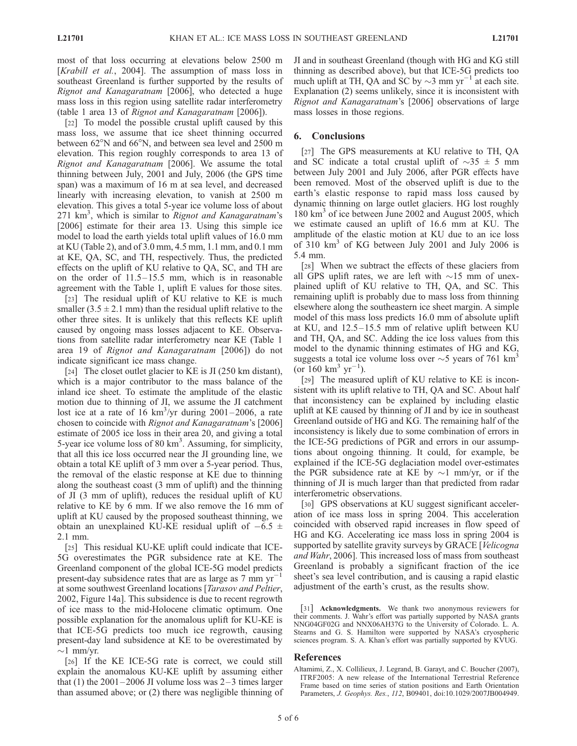most of that loss occurring at elevations below 2500 m [Krabill et al., 2004]. The assumption of mass loss in southeast Greenland is further supported by the results of Rignot and Kanagaratnam [2006], who detected a huge mass loss in this region using satellite radar interferometry (table 1 area 13 of Rignot and Kanagaratnam [2006]).

[22] To model the possible crustal uplift caused by this mass loss, we assume that ice sheet thinning occurred between  $62^{\circ}$ N and  $66^{\circ}$ N, and between sea level and 2500 m elevation. This region roughly corresponds to area 13 of Rignot and Kanagaratnam [2006]. We assume the total thinning between July, 2001 and July, 2006 (the GPS time span) was a maximum of 16 m at sea level, and decreased linearly with increasing elevation, to vanish at 2500 m elevation. This gives a total 5-year ice volume loss of about 271 km<sup>3</sup>, which is similar to Rignot and Kanagaratnam's [2006] estimate for their area 13. Using this simple ice model to load the earth yields total uplift values of 16.0 mm at KU (Table 2), and of 3.0 mm, 4.5 mm, 1.1 mm, and 0.1 mm at KE, QA, SC, and TH, respectively. Thus, the predicted effects on the uplift of KU relative to QA, SC, and TH are on the order of  $11.5-15.5$  mm, which is in reasonable agreement with the Table 1, uplift E values for those sites.

[23] The residual uplift of KU relative to KE is much smaller  $(3.5 \pm 2.1 \text{ mm})$  than the residual uplift relative to the other three sites. It is unlikely that this reflects KE uplift caused by ongoing mass losses adjacent to KE. Observations from satellite radar interferometry near KE (Table 1 area 19 of Rignot and Kanagaratnam [2006]) do not indicate significant ice mass change.

[24] The closet outlet glacier to KE is JI (250 km distant), which is a major contributor to the mass balance of the inland ice sheet. To estimate the amplitude of the elastic motion due to thinning of JI, we assume the JI catchment lost ice at a rate of 16  $km^3$ /yr during 2001–2006, a rate chosen to coincide with Rignot and Kanagaratnam's [2006] estimate of 2005 ice loss in their area 20, and giving a total 5-year ice volume loss of 80  $km<sup>3</sup>$ . Assuming, for simplicity, that all this ice loss occurred near the JI grounding line, we obtain a total KE uplift of 3 mm over a 5-year period. Thus, the removal of the elastic response at KE due to thinning along the southeast coast (3 mm of uplift) and the thinning of JI (3 mm of uplift), reduces the residual uplift of KU relative to KE by 6 mm. If we also remove the 16 mm of uplift at KU caused by the proposed southeast thinning, we obtain an unexplained KU-KE residual uplift of  $-6.5 \pm$ 2.1 mm.

[25] This residual KU-KE uplift could indicate that ICE-5G overestimates the PGR subsidence rate at KE. The Greenland component of the global ICE-5G model predicts present-day subsidence rates that are as large as  $7 \text{ mm yr}^{-1}$ at some southwest Greenland locations [Tarasov and Peltier, 2002, Figure 14a]. This subsidence is due to recent regrowth of ice mass to the mid-Holocene climatic optimum. One possible explanation for the anomalous uplift for KU-KE is that ICE-5G predicts too much ice regrowth, causing present-day land subsidence at KE to be overestimated by  $\sim$ 1 mm/yr.

[26] If the KE ICE-5G rate is correct, we could still explain the anomalous KU-KE uplift by assuming either that (1) the  $2001-2006$  JI volume loss was  $2-3$  times larger than assumed above; or (2) there was negligible thinning of JI and in southeast Greenland (though with HG and KG still thinning as described above), but that ICE-5G predicts too much uplift at TH, QA and SC by  $\sim$ 3 mm yr<sup>-1</sup> at each site. Explanation (2) seems unlikely, since it is inconsistent with Rignot and Kanagaratnam's [2006] observations of large mass losses in those regions.

#### 6. Conclusions

[27] The GPS measurements at KU relative to TH, QA and SC indicate a total crustal uplift of  $\sim$ 35  $\pm$  5 mm between July 2001 and July 2006, after PGR effects have been removed. Most of the observed uplift is due to the earth's elastic response to rapid mass loss caused by dynamic thinning on large outlet glaciers. HG lost roughly 180 km<sup>3</sup> of ice between June 2002 and August 2005, which we estimate caused an uplift of 16.6 mm at KU. The amplitude of the elastic motion at KU due to an ice loss of 310 km<sup>3</sup> of KG between July 2001 and July 2006 is 5.4 mm.

[28] When we subtract the effects of these glaciers from all GPS uplift rates, we are left with  $\sim 15$  mm of unexplained uplift of KU relative to TH, QA, and SC. This remaining uplift is probably due to mass loss from thinning elsewhere along the southeastern ice sheet margin. A simple model of this mass loss predicts 16.0 mm of absolute uplift at KU, and  $12.5 - 15.5$  mm of relative uplift between KU and TH, QA, and SC. Adding the ice loss values from this model to the dynamic thinning estimates of HG and KG, suggests a total ice volume loss over  $\sim$  5 years of 761 km<sup>3</sup>  $\frac{60}{160}$  km<sup>3</sup> yr<sup>-1</sup>).

[29] The measured uplift of KU relative to KE is inconsistent with its uplift relative to TH, QA and SC. About half that inconsistency can be explained by including elastic uplift at KE caused by thinning of JI and by ice in southeast Greenland outside of HG and KG. The remaining half of the inconsistency is likely due to some combination of errors in the ICE-5G predictions of PGR and errors in our assumptions about ongoing thinning. It could, for example, be explained if the ICE-5G deglaciation model over-estimates the PGR subsidence rate at KE by  $\sim$ 1 mm/yr, or if the thinning of JI is much larger than that predicted from radar interferometric observations.

[30] GPS observations at KU suggest significant acceleration of ice mass loss in spring 2004. This acceleration coincided with observed rapid increases in flow speed of HG and KG. Accelerating ice mass loss in spring 2004 is supported by satellite gravity surveys by GRACE [Velicogna] and Wahr, 2006]. This increased loss of mass from southeast Greenland is probably a significant fraction of the ice sheet's sea level contribution, and is causing a rapid elastic adjustment of the earth's crust, as the results show.

[31] Acknowledgments. We thank two anonymous reviewers for their comments. J. Wahr's effort was partially supported by NASA grants NNG04GF02G and NNX06AH37G to the University of Colorado. L. A. Stearns and G. S. Hamilton were supported by NASA's cryospheric sciences program. S. A. Khan's effort was partially supported by KVUG.

#### References

Altamimi, Z., X. Collilieux, J. Legrand, B. Garayt, and C. Boucher (2007), ITRF2005: A new release of the International Terrestrial Reference Frame based on time series of station positions and Earth Orientation Parameters, J. Geophys. Res., 112, B09401, doi:10.1029/2007JB004949.